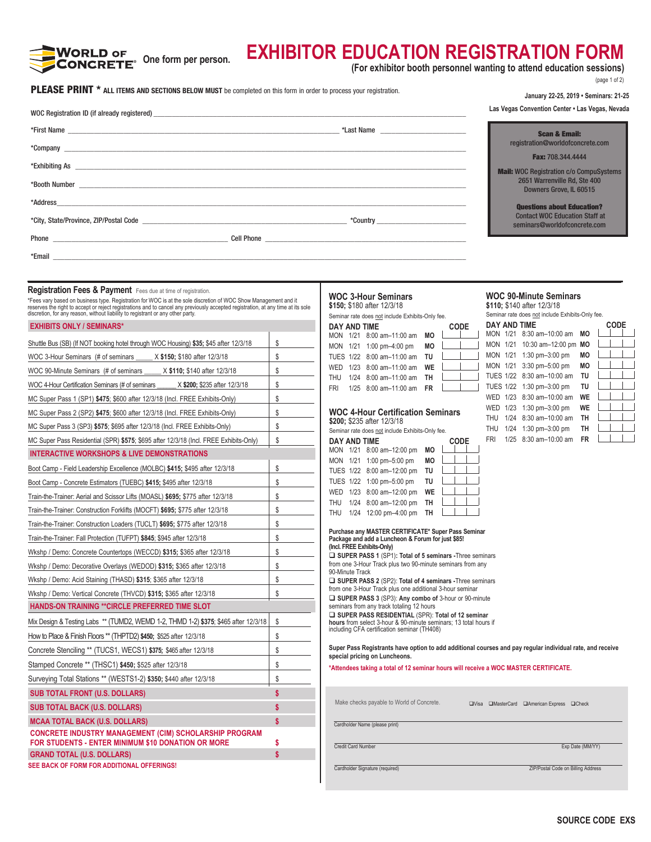

# **EXHIBITOR EDUCATION REGISTRATION FORM**

**(For exhibitor booth personnel wanting to attend education sessions)**

(page 1 of 2)

| PLEASE PRINT * ALL ITEMS AND SECTIONS BELOW MUST be completed on this form in order to process your registration. |  |
|-------------------------------------------------------------------------------------------------------------------|--|
|-------------------------------------------------------------------------------------------------------------------|--|

| <b>PLEASE PRINT</b> * ALL ITEMS AND SECTIONS BELOW MUST be completed on this form in order to process your registration.                                                                                                          |              |                                                                                                                        |             | January 22-25, 2019 · Seminars: 21-25                                                                     |             |
|-----------------------------------------------------------------------------------------------------------------------------------------------------------------------------------------------------------------------------------|--------------|------------------------------------------------------------------------------------------------------------------------|-------------|-----------------------------------------------------------------------------------------------------------|-------------|
| WOC Registration ID (if already registered) expansion of the state of the state of the state of the state of the state of the state of the state of the state of the state of the state of the state of the state of the state    |              |                                                                                                                        |             | Las Vegas Convention Center . Las Vegas, Nevada                                                           |             |
|                                                                                                                                                                                                                                   |              |                                                                                                                        |             | <b>Scan &amp; Email:</b>                                                                                  |             |
|                                                                                                                                                                                                                                   |              |                                                                                                                        |             | registration@worldofconcrete.com                                                                          |             |
|                                                                                                                                                                                                                                   |              |                                                                                                                        |             | Fax: 708.344.4444                                                                                         |             |
|                                                                                                                                                                                                                                   |              |                                                                                                                        |             | <b>Mail:</b> WOC Registration c/o CompuSystems<br>2651 Warrenville Rd, Ste 400                            |             |
|                                                                                                                                                                                                                                   |              |                                                                                                                        |             | Downers Grove, IL 60515                                                                                   |             |
| *Address                                                                                                                                                                                                                          |              |                                                                                                                        |             | <b>Questions about Education?</b>                                                                         |             |
|                                                                                                                                                                                                                                   |              |                                                                                                                        |             | <b>Contact WOC Education Staff at</b><br>seminars@worldofconcrete.com                                     |             |
|                                                                                                                                                                                                                                   |              |                                                                                                                        |             |                                                                                                           |             |
|                                                                                                                                                                                                                                   |              |                                                                                                                        |             |                                                                                                           |             |
|                                                                                                                                                                                                                                   |              |                                                                                                                        |             |                                                                                                           |             |
| Registration Fees & Payment Fees due at time of registration.                                                                                                                                                                     |              | <b>WOC 3-Hour Seminars</b>                                                                                             |             | <b>WOC 90-Minute Seminars</b>                                                                             |             |
| *Fees vary based on business type. Registration for WOC is at the sole discretion of WOC Show Management and it<br>reserves the right to accept or reject registrations and to cancel any previously accepted registration, at an |              | \$150: \$180 after 12/3/18<br>Seminar rate does not include Exhibits-Only fee.                                         |             | \$110; \$140 after 12/3/18<br>Seminar rate does not include Exhibits-Only fee.                            |             |
| <b>EXHIBITS ONLY / SEMINARS*</b>                                                                                                                                                                                                  |              | DAY AND TIME                                                                                                           | CODE        | DAY AND TIME                                                                                              | <b>CODE</b> |
| Shuttle Bus (SB) (If NOT booking hotel through WOC Housing) \$35; \$45 after 12/3/18                                                                                                                                              | \$           | MON 1/21 8:00 am-11:00 am MO<br>MON 1/21 1:00 pm-4:00 pm<br>MО                                                         |             | MON 1/21 8:30 am-10:00 am MO<br>MON 1/21 10:30 am-12:00 pm MO                                             |             |
| WOC 3-Hour Seminars (# of seminars _____ X \$150; \$180 after 12/3/18                                                                                                                                                             | \$           | TUES 1/22 8:00 am-11:00 am TU                                                                                          |             | MON 1/21 1:30 pm-3:00 pm<br>MО                                                                            |             |
| WOC 90-Minute Seminars (# of seminars _____ X \$110; \$140 after 12/3/18                                                                                                                                                          | \$           | 1/23 8:00 am-11:00 am<br><b>WE</b><br>WED                                                                              |             | MON 1/21 3:30 pm-5:00 pm<br>MО                                                                            |             |
| WOC 4-Hour Certification Seminars (# of seminars ______ X \$200; \$235 after 12/3/18                                                                                                                                              | \$           | <b>THU</b><br>1/24 8:00 am-11:00 am<br>TH<br>1/25 8:00 am-11:00 am FR<br><b>FRI</b>                                    |             | TUES 1/22 8:30 am-10:00 am<br>TU<br>TUES 1/22 1:30 pm-3:00 pm<br>TU                                       |             |
| MC Super Pass 1 (SP1) \$475; \$600 after 12/3/18 (Incl. FREE Exhibits-Only)                                                                                                                                                       | \$           |                                                                                                                        |             | WED 1/23 8:30 am-10:00 am<br>WE                                                                           |             |
| MC Super Pass 2 (SP2) \$475; \$600 after 12/3/18 (Incl. FREE Exhibits-Only)                                                                                                                                                       | \$           | <b>WOC 4-Hour Certification Seminars</b>                                                                               |             | WE<br>WED 1/23 1:30 pm-3:00 pm                                                                            |             |
| MC Super Pass 3 (SP3) \$575; \$695 after 12/3/18 (Incl. FREE Exhibits-Only)                                                                                                                                                       | \$           | \$200; \$235 after 12/3/18                                                                                             |             | THU 1/24 8:30 am-10:00 am<br>TH<br>THU 1/24 1:30 pm-3:00 pm<br>TH                                         |             |
| MC Super Pass Residential (SPR) \$575; \$695 after 12/3/18 (Incl. FREE Exhibits-Only)                                                                                                                                             | \$           | Seminar rate does not include Exhibits-Only fee.<br>DAY AND TIME                                                       | <b>CODE</b> | <b>FR</b><br>FRI 1/25 8:30 am-10:00 am                                                                    |             |
| <b>INTERACTIVE WORKSHOPS &amp; LIVE DEMONSTRATIONS</b>                                                                                                                                                                            |              | MON 1/21 8:00 am-12:00 pm MO                                                                                           |             |                                                                                                           |             |
| Boot Camp - Field Leadership Excellence (MOLBC) \$415; \$495 after 12/3/18                                                                                                                                                        | \$           | MON 1/21 1:00 pm-5:00 pm<br>MO<br>TUES 1/22 8:00 am-12:00 pm TU                                                        |             |                                                                                                           |             |
| Boot Camp - Concrete Estimators (TUEBC) \$415; \$495 after 12/3/18                                                                                                                                                                | \$           | TUES 1/22 1:00 pm-5:00 pm<br>TU                                                                                        |             |                                                                                                           |             |
| Train-the-Trainer: Aerial and Scissor Lifts (MOASL) \$695; \$775 after 12/3/18                                                                                                                                                    | \$           | WED 1/23 8:00 am-12:00 pm WE                                                                                           |             |                                                                                                           |             |
| Train-the-Trainer: Construction Forklifts (MOCFT) \$695; \$775 after 12/3/18                                                                                                                                                      | \$           | THU 1/24 8:00 am-12:00 pm<br>TH                                                                                        |             |                                                                                                           |             |
| Train-the-Trainer: Construction Loaders (TUCLT) \$695; \$775 after 12/3/18                                                                                                                                                        | \$           | THU 1/24 12:00 pm-4:00 pm TH                                                                                           |             |                                                                                                           |             |
| Train-the-Trainer: Fall Protection (TUFPT) \$845; \$945 after 12/3/18                                                                                                                                                             | \$           | Purchase any MASTER CERTIFICATE* Super Pass Seminar<br>Package and add a Luncheon & Forum for just \$85!               |             |                                                                                                           |             |
| Wkshp / Demo: Concrete Countertops (WECCD) \$315; \$365 after 12/3/18                                                                                                                                                             | \$           | (Incl. FREE Exhibits-Only)                                                                                             |             |                                                                                                           |             |
| Wkshp / Demo: Decorative Overlays (WEDOD) \$315; \$365 after 12/3/18                                                                                                                                                              | \$           | SUPER PASS 1 (SP1): Total of 5 seminars - Three seminars<br>from one 3-Hour Track plus two 90-minute seminars from any |             |                                                                                                           |             |
| Wkshp / Demo: Acid Staining (THASD) \$315; \$365 after 12/3/18                                                                                                                                                                    | \$           | 90-Minute Track<br>SUPER PASS 2 (SP2): Total of 4 seminars - Three seminars                                            |             |                                                                                                           |             |
| Wkshp / Demo: Vertical Concrete (THVCD) \$315; \$365 after 12/3/18                                                                                                                                                                | \$           | from one 3-Hour Track plus one additional 3-hour seminar                                                               |             |                                                                                                           |             |
| HANDS-ON TRAINING ** CIRCLE PREFERRED TIME SLOT                                                                                                                                                                                   |              | SUPER PASS 3 (SP3): Any combo of 3-hour or 90-minute<br>seminars from any track totaling 12 hours                      |             |                                                                                                           |             |
| Mix Design & Testing Labs ** (TUMD2, WEMD 1-2, THMD 1-2) \$375; \$465 after 12/3/18                                                                                                                                               | \$           | SUPER PASS RESIDENTIAL (SPR): Total of 12 seminar<br>hours from select 3-hour & 90-minute seminars; 13 total hours if  |             |                                                                                                           |             |
| How to Place & Finish Floors ** (THPTD2) \$450; \$525 after 12/3/18                                                                                                                                                               | \$           | including CFA certification seminar (TH408)                                                                            |             |                                                                                                           |             |
| Concrete Stenciling ** (TUCS1, WECS1) \$375; \$465 after 12/3/18                                                                                                                                                                  | \$           |                                                                                                                        |             | Super Pass Registrants have option to add additional courses and pay regular individual rate, and receive |             |
| Stamped Concrete ** (THSC1) \$450; \$525 after 12/3/18                                                                                                                                                                            | \$           | special pricing on Luncheons.                                                                                          |             |                                                                                                           |             |
| Surveying Total Stations ** (WESTS1-2) \$350; \$440 after 12/3/18                                                                                                                                                                 | \$           | *Attendees taking a total of 12 seminar hours will receive a WOC MASTER CERTIFICATE.                                   |             |                                                                                                           |             |
| <b>SUB TOTAL FRONT (U.S. DOLLARS)</b>                                                                                                                                                                                             | \$           |                                                                                                                        |             |                                                                                                           |             |
| <b>SUB TOTAL BACK (U.S. DOLLARS)</b>                                                                                                                                                                                              |              | Make checks payable to World of Concrete.                                                                              |             | □Visa □MasterCard □American Express □Check                                                                |             |
| <b>MCAA TOTAL BACK (U.S. DOLLARS)</b>                                                                                                                                                                                             | \$           |                                                                                                                        |             |                                                                                                           |             |
| <b>CONCRETE INDUSTRY MANAGEMENT (CIM) SCHOLARSHIP PROGRAM</b>                                                                                                                                                                     |              | Cardholder Name (please print)                                                                                         |             |                                                                                                           |             |
| FOR STUDENTS - ENTER MINIMUM \$10 DONATION OR MORE                                                                                                                                                                                | s            | <b>Credit Card Number</b>                                                                                              |             | Exp Date (MM/YY)                                                                                          |             |
| <b>GRAND TOTAL (U.S. DOLLARS)</b>                                                                                                                                                                                                 | $\mathsf{s}$ |                                                                                                                        |             |                                                                                                           |             |
| SEE BACK OF FORM FOR ADDITIONAL OFFERINGS!                                                                                                                                                                                        |              | Cardholder Signature (required)                                                                                        |             | ZIP/Postal Code on Billing Address                                                                        |             |